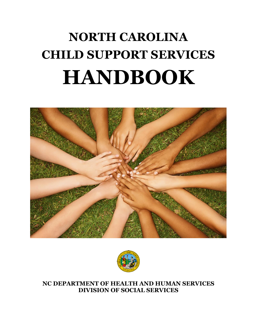# **NORTH CAROLINA CHILD SUPPORT SERVICES HANDBOOK**





**NC DEPARTMENT OF HEALTH AND HUMAN SERVICES DIVISION OF SOCIAL SERVICES**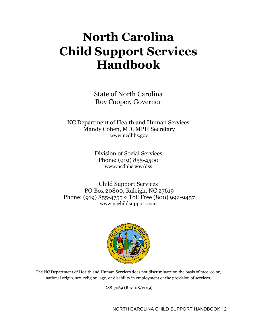# **North Carolina Child Support Services Handbook**

State of North Carolina Roy Cooper, Governor

NC Department of Health and Human Services Mandy Cohen, MD, MPH Secretary www.ncdhhs.gov

> Division of Social Services Phone: (919) 855-4500 www.ncdhhs.gov/dss

Child Support Services PO Box 20800, Raleigh, NC 27619 Phone: (919) 855-4755 ◊ Toll Free (800) 992-9457 www.ncchildsupport.com



The NC Department of Health and Human Services does not discriminate on the basis of race, color, national origin, sex, religion, age, or disability in employment or the provision of services.

DSS-7069 (Rev. 08/2019)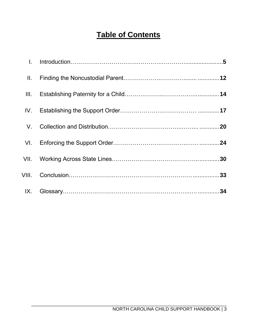# **Table of Contents**

| $\mathbf{II}$ . |  |
|-----------------|--|
| III.            |  |
|                 |  |
|                 |  |
|                 |  |
|                 |  |
|                 |  |
|                 |  |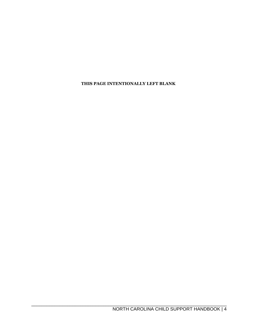**THIS PAGE INTENTIONALLY LEFT BLANK**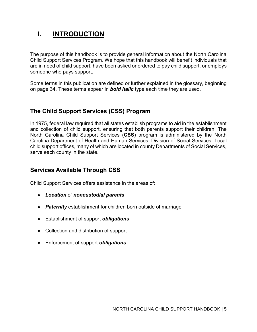### **I. INTRODUCTION**

The purpose of this handbook is to provide general information about the North Carolina Child Support Services Program. We hope that this handbook will benefit individuals that are in need of child support, have been asked or ordered to pay child support, or employs someone who pays support.

Some terms in this publication are defined or further explained in the glossary, beginning on page 34. These terms appear in *bold italic* type each time they are used.

#### **The Child Support Services (CSS) Program**

In 1975, federal law required that all states establish programs to aid in the establishment and collection of child support, ensuring that both parents support their children. The North Carolina Child Support Services (**CSS**) program is administered by the North Carolina Department of Health and Human Services, Division of Social Services. Local child support offices, many of which are located in county Departments of Social Services, serve each county in the state.

#### **Services Available Through CSS**

Child Support Services offers assistance in the areas of:

- *Location* of *noncustodial parents*
- *Paternity* establishment for children born outside of marriage
- Establishment of support *obligations*
- Collection and distribution of support
- Enforcement of support *obligations*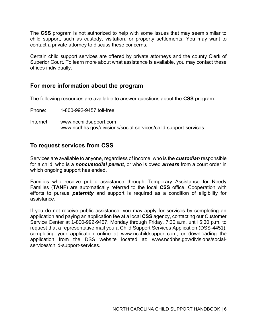The **CSS** program is not authorized to help with some issues that may seem similar to child support, such as custody, visitation, or property settlements. You may want to contact a private attorney to discuss these concerns.

Certain child support services are offered by private attorneys and the county Clerk of Superior Court. To learn more about what assistance is available, you may contact these offices individually.

#### **For more information about the program**

The following resources are available to answer questions about the **CSS** program:

Phone: 1-800-992-9457 toll-free

Internet: www.ncchildsupport.com www.ncdhhs.gov/divisions/social-services/child-support-services

#### **To request services from CSS**

Services are available to anyone, regardless of income, who is the *custodian* responsible for a child, who is a *noncustodial parent*, or who is owed *arrears* from a court order in which ongoing support has ended.

Families who receive public assistance through Temporary Assistance for Needy Families (**TANF**) are automatically referred to the local **CSS** office. Cooperation with efforts to pursue *paternity* and support is required as a condition of eligibility for assistance.

If you do not receive public assistance, you may apply for services by completing an application and paying an application fee at a local **CSS** agency, contacting our Customer Service Center at 1-800-992-9457, Monday through Friday, 7:30 a.m. until 5:30 p.m. to request that a representative mail you a Child Support Services Application (DSS-4451), completing your application online at www.ncchildsupport.com, or downloading the application from the DSS website located at: www.ncdhhs.gov/divisions/socialservices/child-support-services.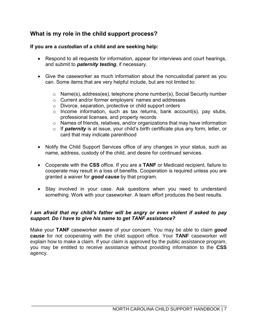#### **What is my role in the child support process?**

#### **If you are a** *custodian* **of a child and are seeking help:**

- Respond to all requests for information, appear for interviews and court hearings, and submit to *paternity testing*, if necessary.
- Give the caseworker as much information about the noncustodial parent as you can. Some items that are very helpful include, but are not limited to:
	- o Name(s), address(es), telephone phone number(s), Social Security number
	- o Current and/or former employers' names and addresses
	- o Divorce, separation, protective or child support orders
	- $\circ$  Income information, such as tax returns, bank account(s), pay stubs, professional licenses, and property records
	- o Names of friends, relatives, and/or organizations that may have information
	- o If *paternity* is at issue, your child's birth certificate plus any form, letter, or card that may indicate parenthood
- Notify the Child Support Services office of any changes in your status, such as name, address, custody of the child, and desire for continued services.
- Cooperate with the **CSS** office. If you are a **TANF** or Medicaid recipient, failure to cooperate may result in a loss of benefits. Cooperation is required unless you are granted a waiver for *good cause* by that program.
- Stay involved in your case. Ask questions when you need to understand something. Work with your caseworker. A team effort produces the best results.

#### *I am afraid that my child's father will be angry or even violent if asked to pay support. Do I have to give his name to get TANF assistance?*

Make your **TANF** caseworker aware of your concern. You may be able to claim *good cause* for not cooperating with the child support office. Your **TANF** caseworker will explain how to make a claim. If your claim is approved by the public assistance program, you may be entitled to receive assistance without providing information to the **CSS** agency.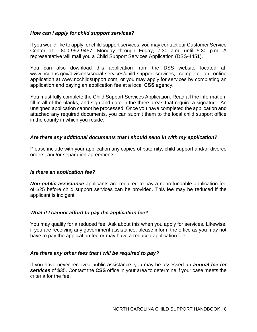#### *How can I apply for child support services?*

If you would like to apply for child support services, you may contact our Customer Service Center at 1-800-992-9457, Monday through Friday, 7:30 a.m. until 5:30 p.m. A representative will mail you a Child Support Services Application (DSS-4451).

You can also download this application from the DSS website located at: [www.ncdhhs.gov/divisions/social-services/child-support-services,](http://www.ncdhhs.gov/divisions/social-services/child-support-services) complete an online application at www.ncchildsupport.com, or you may apply for services by completing an application and paying an application fee at a local **CSS** agency.

You must fully complete the Child Support Services Application. Read all the information, fill in all of the blanks, and sign and date in the three areas that require a signature. An unsigned application cannot be processed. Once you have completed the application and attached any required documents, you can submit them to the local child support office in the county in which you reside.

#### *Are there any additional documents that I should send in with my application?*

Please include with your application any copies of paternity, child support and/or divorce orders, and/or separation agreements.

#### *Is there an application fee?*

*Non-public assistance* applicants are required to pay a nonrefundable application fee of \$25 before child support services can be provided. This fee may be reduced if the applicant is indigent.

#### *What if I cannot afford to pay the application fee?*

You may qualify for a reduced fee. Ask about this when you apply for services. Likewise, if you are receiving any government assistance, please inform the office as you may not have to pay the application fee or may have a reduced application fee.

#### *Are there any other fees that I will be required to pay?*

If you have never received public assistance, you may be assessed an *annual fee for services* of \$35. Contact the **CSS** office in your area to determine if your case meets the criteria for the fee.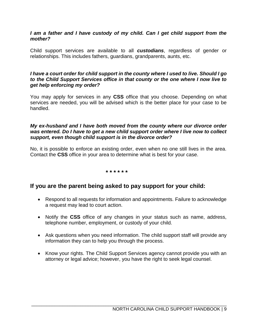#### *I am a father and I have custody of my child. Can I get child support from the mother?*

Child support services are available to all *custodians*, regardless of gender or relationships. This includes fathers, guardians, grandparents, aunts, etc.

#### *I have a court order for child support in the county where I used to live. Should I go to the Child Support Services office in that county or the one where I now live to get help enforcing my order?*

You may apply for services in any **CSS** office that you choose. Depending on what services are needed, you will be advised which is the better place for your case to be handled.

#### *My ex-husband and I have both moved from the county where our divorce order was entered. Do I have to get a new child support order where I live now to collect support, even though child support is in the divorce order?*

No, it is possible to enforce an existing order, even when no one still lives in the area. Contact the **CSS** office in your area to determine what is best for your case.

#### **\* \* \* \* \* \***

#### **If you are the parent being asked to pay support for your child:**

- Respond to all requests for information and appointments. Failure to acknowledge a request may lead to court action.
- Notify the **CSS** office of any changes in your status such as name, address, telephone number, employment, or custody of your child.
- Ask questions when you need information. The child support staff will provide any information they can to help you through the process.
- Know your rights. The Child Support Services agency cannot provide you with an attorney or legal advice; however, you have the right to seek legal counsel.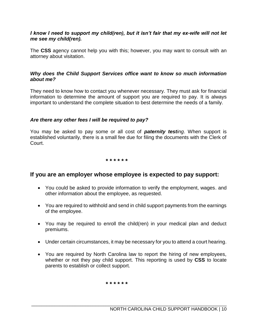#### *I know I need to support my child(ren), but it isn't fair that my ex-wife will not let me see my child(ren).*

The **CSS** agency cannot help you with this; however, you may want to consult with an attorney about visitation.

#### *Why does the Child Support Services office want to know so much information about me?*

They need to know how to contact you whenever necessary. They must ask for financial information to determine the amount of support you are required to pay. It is always important to understand the complete situation to best determine the needs of a family.

#### *Are there any other fees I will be required to pay?*

You may be asked to pay some or all cost of *paternity testing*. When support is established voluntarily, there is a small fee due for filing the documents with the Clerk of Court.

**\* \* \* \* \* \***

#### **If you are an employer whose employee is expected to pay support:**

- You could be asked to provide information to verify the employment, wages. and other information about the employee, as requested.
- You are required to withhold and send in child support payments from the earnings of the employee.
- You may be required to enroll the child(ren) in your medical plan and deduct premiums.
- Under certain circumstances, it may be necessary for you to attend a court hearing.
- You are required by North Carolina law to report the hiring of new employees, whether or not they pay child support. This reporting is used by **CSS** to locate parents to establish or collect support.

**\* \* \* \* \* \***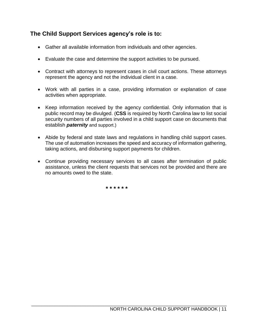#### **The Child Support Services agency's role is to:**

- Gather all available information from individuals and other agencies.
- Evaluate the case and determine the support activities to be pursued.
- Contract with attorneys to represent cases in civil court actions. These attorneys represent the agency and not the individual client in a case.
- Work with all parties in a case, providing information or explanation of case activities when appropriate.
- Keep information received by the agency confidential. Only information that is public record may be divulged. (**CSS** is required by North Carolina law to list social security numbers of all parties involved in a child support case on documents that establish *paternity* and support.)
- Abide by federal and state laws and regulations in handling child support cases. The use of automation increases the speed and accuracy of information gathering, taking actions, and disbursing support payments for children.
- Continue providing necessary services to all cases after termination of public assistance, unless the client requests that services not be provided and there are no amounts owed to the state.

**\* \* \* \* \* \***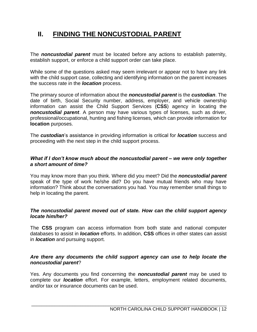# **II. FINDING THE NONCUSTODIAL PARENT**

The *noncustodial parent* must be located before any actions to establish paternity, establish support, or enforce a child support order can take place.

While some of the questions asked may seem irrelevant or appear not to have any link with the child support case, collecting and identifying information on the parent increases the success rate in the *location* process.

The primary source of information about the *noncustodial parent* is the *custodian*. The date of birth, Social Security number, address, employer, and vehicle ownership information can assist the Child Support Services (**CSS**) agency in locating the *noncustodial parent*. A person may have various types of licenses, such as driver, professional/occupational, hunting and fishing licenses, which can provide information for **location** purposes.

The *custodian*'s assistance in providing information is critical for *location* success and proceeding with the next step in the child support process.

#### *What if I don't know much about the noncustodial parent – we were only together a short amount of time?*

You may know more than you think. Where did you meet? Did the *noncustodial parent* speak of the type of work he/she did? Do you have mutual friends who may have information? Think about the conversations you had. You may remember small things to help in locating the parent.

#### *The noncustodial parent moved out of state. How can the child support agency locate him/her?*

The **CSS** program can access information from both state and national computer databases to assist in *location* efforts. In addition, **CSS** offices in other states can assist in *location* and pursuing support.

#### *Are there any documents the child support agency can use to help locate the noncustodial parent*?

Yes. Any documents you find concerning the *noncustodial parent* may be used to complete our *location* effort. For example, letters, employment related documents, and/or tax or insurance documents can be used.

\_\_\_\_\_\_\_\_\_\_\_\_\_\_\_\_\_\_\_\_\_\_\_\_\_\_\_\_\_\_\_\_\_\_\_\_\_\_\_\_\_\_\_\_\_\_\_\_\_\_\_\_\_\_\_\_\_\_\_\_\_\_\_\_\_\_\_\_\_\_\_\_\_\_\_\_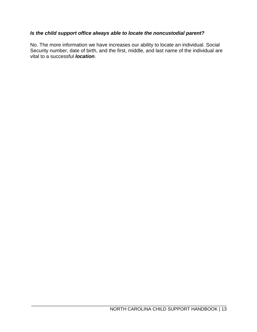#### *Is the child support office always able to locate the noncustodial parent?*

No. The more information we have increases our ability to locate an individual. Social Security number, date of birth, and the first, middle, and last name of the individual are vital to a successful *location*.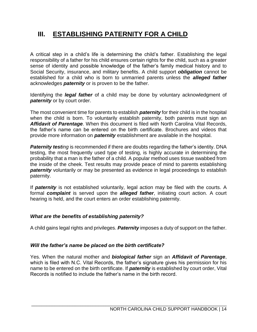# **III. ESTABLISHING PATERNITY FOR A CHILD**

A critical step in a child's life is determining the child's father. Establishing the legal responsibility of a father for his child ensures certain rights for the child, such as a greater sense of identity and possible knowledge of the father's family medical history and to Social Security, insurance, and military benefits. A child support *obligation* cannot be established for a child who is born to unmarried parents unless the *alleged father* acknowledges *paternity* or is proven to be the father.

Identifying the *legal father* of a child may be done by voluntary acknowledgment of *paternity* or by court order.

The most convenient time for parents to establish *paternity* for their child is in the hospital when the child is born. To voluntarily establish paternity, both parents must sign an *Affidavit of Parentage*. When this document is filed with North Carolina Vital Records, the father's name can be entered on the birth certificate. Brochures and videos that provide more information on *paternity* establishment are available in the hospital.

*Paternity testing* is recommended if there are doubts regarding the father's identity. DNA testing, the most frequently used type of testing, is highly accurate in determining the probability that a man is the father of a child. A popular method uses tissue swabbed from the inside of the cheek. Test results may provide peace of mind to parents establishing **paternity** voluntarily or may be presented as evidence in legal proceedings to establish paternity.

If *paternity* is not established voluntarily, legal action may be filed with the courts. A formal *complaint* is served upon the *alleged father*, initiating court action. A court hearing is held, and the court enters an order establishing paternity.

#### *What are the benefits of establishing paternity?*

A child gains legal rights and privileges. *Paternity* imposes a duty of support on the father.

#### *Will the father's name be placed on the birth certificate?*

Yes. When the natural mother and *biological father* sign an *Affidavit of Parentage*, which is filed with N.C. Vital Records, the father's signature gives his permission for his name to be entered on the birth certificate. If *paternity* is established by court order, Vital Records is notified to include the father's name in the birth record.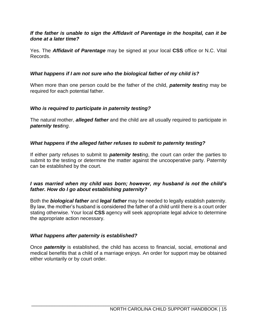#### *If the father is unable to sign the Affidavit of Parentage in the hospital, can it be done at a later time?*

Yes. The *Affidavit of Parentage* may be signed at your local **CSS** office or N.C. Vital Records.

#### *What happens if I am not sure who the biological father of my child is?*

When more than one person could be the father of the child, *paternity testing* may be required for each potential father.

#### *Who is required to participate in paternity testing?*

The natural mother, *alleged father* and the child are all usually required to participate in *paternity testing*.

#### *What happens if the alleged father refuses to submit to paternity testing?*

If either party refuses to submit to *paternity testing*, the court can order the parties to submit to the testing or determine the matter against the uncooperative party. Paternity can be established by the court.

#### *I was married when my child was born; however, my husband is not the child's father. How do I go about establishing paternity?*

Both the *biological father* and *legal father* may be needed to legally establish paternity. By law, the mother's husband is considered the father of a child until there is a court order stating otherwise. Your local **CSS** agency will seek appropriate legal advice to determine the appropriate action necessary.

#### *What happens after paternity is established?*

Once *paternity* is established, the child has access to financial, social, emotional and medical benefits that a child of a marriage enjoys. An order for support may be obtained either voluntarily or by court order.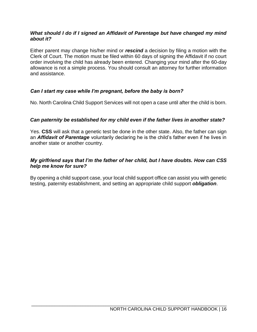#### *What should I do if I signed an Affidavit of Parentage but have changed my mind about it?*

Either parent may change his/her mind or *rescind* a decision by filing a motion with the Clerk of Court. The motion must be filed within 60 days of signing the Affidavit if no court order involving the child has already been entered. Changing your mind after the 60-day allowance is not a simple process. You should consult an attorney for further information and assistance.

#### *Can I start my case while I'm pregnant, before the baby is born?*

No. North Carolina Child Support Services will not open a case until after the child is born.

#### *Can paternity be established for my child even if the father lives in another state?*

Yes. **CSS** will ask that a genetic test be done in the other state. Also, the father can sign an *Affidavit of Parentage* voluntarily declaring he is the child's father even if he lives in another state or another country.

#### *My girlfriend says that I'm the father of her child, but I have doubts. How can CSS help me know for sure?*

By opening a child support case, your local child support office can assist you with genetic testing, paternity establishment, and setting an appropriate child support *obligation*.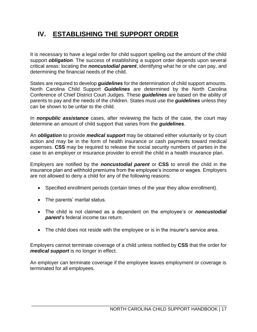# **IV. ESTABLISHING THE SUPPORT ORDER**

It is necessary to have a legal order for child support spelling out the amount of the child support *obligation*. The success of establishing a support order depends upon several critical areas: locating the *noncustodial parent*, identifying what he or she can pay, and determining the financial needs of the child.

States are required to develop *guidelines* for the determination of child support amounts. North Carolina Child Support *Guidelines* are determined by the North Carolina Conference of Chief District Court Judges. These *guidelines* are based on the ability of parents to pay and the needs of the children. States must use the *guidelines* unless they can be shown to be unfair to the child.

In *nonpublic assistance* cases, after reviewing the facts of the case, the court may determine an amount of child support that varies from the *guidelines*.

An *obligation* to provide *medical support* may be obtained either voluntarily or by court action and may be in the form of health insurance or cash payments toward medical expenses. **CSS** may be required to release the social security numbers of parties in the case to an employer or insurance provider to enroll the child in a health insurance plan.

Employers are notified by the *noncustodial parent* or **CSS** to enroll the child in the insurance plan and withhold premiums from the employee's income or wages. Employers are not allowed to deny a child for any of the following reasons:

- Specified enrollment periods (certain times of the year they allow enrollment).
- The parents' marital status.
- The child is not claimed as a dependent on the employee's or *noncustodial parent*'s federal income tax return.
- The child does not reside with the employee or is in the insurer's service area.

Employers cannot terminate coverage of a child unless notified by **CSS** that the order for *medical support* is no longer in effect.

An employer can terminate coverage if the employee leaves employment or coverage is terminated for all employees.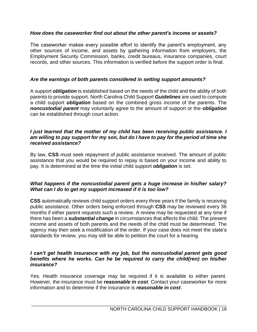#### *How does the caseworker find out about the other parent's income or assets?*

The caseworker makes every possible effort to identify the parent's employment, any other sources of income, and assets by gathering information from employers, the Employment Security Commission, banks, credit bureaus, insurance companies, court records, and other sources. This information is verified before the support order is final.

#### *Are the earnings of both parents considered in setting support amounts?*

A support *obligation* is established based on the needs of the child and the ability of both parents to provide support. North Carolina Child Support *Guidelines* are used to compute a child support *obligation* based on the combined gross income of the parents. The *noncustodial parent* may voluntarily agree to the amount of support or the *obligation* can be established through court action.

#### *I just learned that the mother of my child has been receiving public assistance. I am willing to pay support for my son, but do I have to pay for the period of time she received assistance?*

By law, **CSS** must seek repayment of public assistance received. The amount of public assistance that you would be required to repay is based on your income and ability to pay. It is determined at the time the initial child support *obligation* is set.

#### *What happens if the noncustodial parent gets a huge increase in his/her salary? What can I do to get my support increased if it is too low?*

**CSS** automatically reviews child support orders every three years if the family is receiving public assistance. Other orders being enforced through **CSS** may be reviewed every 36 months if either parent requests such a review. A review may be requested at any time if there has been a *substantial change* in circumstances that affects the child. The present income and assets of both parents and the needs of the child must be determined. The agency may then seek a modification of the order. If your case does not meet the state's standards for review, you may still be able to petition the court for a hearing.

#### *I can't get health insurance with my job, but the noncustodial parent gets good benefits where he works. Can he be required to carry the child(ren) on his/her insurance?*

Yes. Health insurance coverage may be required if it is available to either parent. However, the insurance must be *reasonable in cost*. Contact your caseworker for more information and to determine if the insurance is *reasonable in cost*.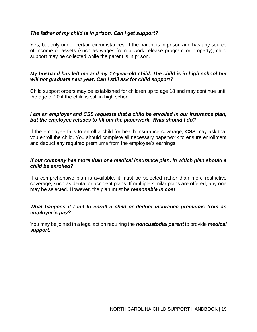#### *The father of my child is in prison. Can I get support?*

Yes, but only under certain circumstances. If the parent is in prison and has any source of income or assets (such as wages from a work release program or property), child support may be collected while the parent is in prison.

#### *My husband has left me and my 17-year-old child. The child is in high school but will not graduate next year. Can I still ask for child support?*

Child support orders may be established for children up to age 18 and may continue until the age of 20 if the child is still in high school.

#### *I am an employer and CSS requests that a child be enrolled in our insurance plan, but the employee refuses to fill out the paperwork. What should I do?*

If the employee fails to enroll a child for health insurance coverage, **CSS** may ask that you enroll the child. You should complete all necessary paperwork to ensure enrollment and deduct any required premiums from the employee's earnings.

#### *If our company has more than one medical insurance plan, in which plan should a child be enrolled?*

If a comprehensive plan is available, it must be selected rather than more restrictive coverage, such as dental or accident plans. If multiple similar plans are offered, any one may be selected. However, the plan must be *reasonable in cost*.

#### *What happens if I fail to enroll a child or deduct insurance premiums from an employee's pay?*

You may be joined in a legal action requiring the *noncustodial parent* to provide *medical support*.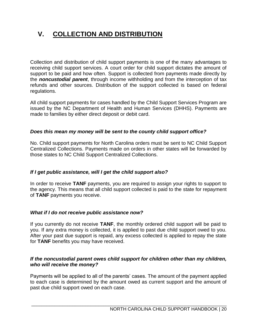# **V. COLLECTION AND DISTRIBUTION**

Collection and distribution of child support payments is one of the many advantages to receiving child support services. A court order for child support dictates the amount of support to be paid and how often. Support is collected from payments made directly by the *noncustodial parent*, through income withholding and from the interception of tax refunds and other sources. Distribution of the support collected is based on federal regulations.

All child support payments for cases handled by the Child Support Services Program are issued by the NC Department of Health and Human Services (DHHS). Payments are made to families by either direct deposit or debit card.

#### *Does this mean my money will be sent to the county child support office?*

No. Child support payments for North Carolina orders must be sent to NC Child Support Centralized Collections. Payments made on orders in other states will be forwarded by those states to NC Child Support Centralized Collections.

#### *If I get public assistance, will I get the child support also?*

In order to receive **TANF** payments, you are required to assign your rights to support to the agency. This means that all child support collected is paid to the state for repayment of **TANF** payments you receive.

#### *What if I do not receive public assistance now?*

If you currently do not receive **TANF**, the monthly ordered child support will be paid to you. If any extra money is collected, it is applied to past due child support owed to you. After your past due support is repaid, any excess collected is applied to repay the state for **TANF** benefits you may have received.

#### *If the noncustodial parent owes child support for children other than my children, who will receive the money?*

Payments will be applied to all of the parents' cases. The amount of the payment applied to each case is determined by the amount owed as current support and the amount of past due child support owed on each case.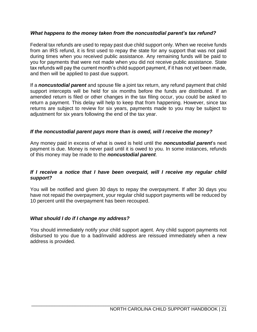#### *What happens to the money taken from the noncustodial parent's tax refund?*

Federal tax refunds are used to repay past due child support only. When we receive funds from an IRS refund, it is first used to repay the state for any support that was not paid during times when you received public assistance. Any remaining funds will be paid to you for payments that were not made when you did not receive public assistance. State tax refunds will pay the current month's child support payment, if it has not yet been made, and then will be applied to past due support.

If a *noncustodial parent* and spouse file a joint tax return, any refund payment that child support intercepts will be held for six months before the funds are distributed. If an amended return is filed or other changes in the tax filing occur, you could be asked to return a payment. This delay will help to keep that from happening. However, since tax returns are subject to review for six years, payments made to you may be subject to adjustment for six years following the end of the tax year.

#### *If the noncustodial parent pays more than is owed, will I receive the money?*

Any money paid in excess of what is owed is held until the *noncustodial parent*'s next payment is due. Money is never paid until it is owed to you. In some instances, refunds of this money may be made to the *noncustodial parent*.

#### *If I receive a notice that I have been overpaid, will I receive my regular child support?*

You will be notified and given 30 days to repay the overpayment. If after 30 days you have not repaid the overpayment, your regular child support payments will be reduced by 10 percent until the overpayment has been recouped.

#### *What should I do if I change my address?*

You should immediately notify your child support agent. Any child support payments not disbursed to you due to a bad/invalid address are reissued immediately when a new address is provided.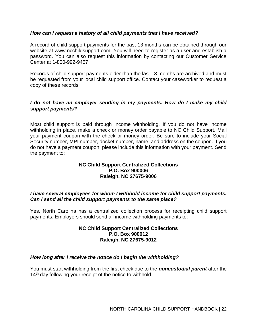#### *How can I request a history of all child payments that I have received?*

A record of child support payments for the past 13 months can be obtained through our website at [www.ncchildsupport.com.](http://www.ncchildsupport.com/) You will need to register as a user and establish a password. You can also request this information by contacting our Customer Service Center at 1-800-992-9457.

Records of child support payments older than the last 13 months are archived and must be requested from your local child support office. Contact your caseworker to request a copy of these records.

#### *I do not have an employer sending in my payments. How do I make my child support payments?*

Most child support is paid through income withholding. If you do not have income withholding in place, make a check or money order payable to NC Child Support. Mail your payment coupon with the check or money order. Be sure to include your Social Security number, MPI number, docket number, name, and address on the coupon. If you do not have a payment coupon, please include this information with your payment. Send the payment to:

#### **NC Child Support Centralized Collections P.O. Box 900006 Raleigh, NC 27675-9006**

#### *I have several employees for whom I withhold income for child support payments. Can I send all the child support payments to the same place?*

Yes. North Carolina has a centralized collection process for receipting child support payments. Employers should send all income withholding payments to:

#### **NC Child Support Centralized Collections P.O. Box 900012 Raleigh, NC 27675-9012**

#### *How long after I receive the notice do I begin the withholding?*

You must start withholding from the first check due to the *noncustodial parent* after the 14<sup>th</sup> day following your receipt of the notice to withhold.

\_\_\_\_\_\_\_\_\_\_\_\_\_\_\_\_\_\_\_\_\_\_\_\_\_\_\_\_\_\_\_\_\_\_\_\_\_\_\_\_\_\_\_\_\_\_\_\_\_\_\_\_\_\_\_\_\_\_\_\_\_\_\_\_\_\_\_\_\_\_\_\_\_\_\_\_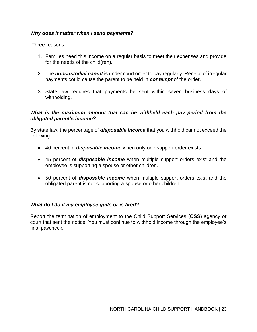#### *Why does it matter when I send payments?*

Three reasons:

- 1. Families need this income on a regular basis to meet their expenses and provide for the needs of the child(ren).
- 2. The *noncustodial parent* is under court order to pay regularly. Receipt of irregular payments could cause the parent to be held in *contempt* of the order.
- 3. State law requires that payments be sent within seven business days of withholding.

#### *What is the maximum amount that can be withheld each pay period from the obligated parent's income?*

By state law, the percentage of *disposable income* that you withhold cannot exceed the following:

- 40 percent of *disposable income* when only one support order exists.
- 45 percent of *disposable income* when multiple support orders exist and the employee is supporting a spouse or other children.
- 50 percent of *disposable income* when multiple support orders exist and the obligated parent is not supporting a spouse or other children.

#### *What do I do if my employee quits or is fired?*

Report the termination of employment to the Child Support Services (**CSS**) agency or court that sent the notice. You must continue to withhold income through the employee's final paycheck.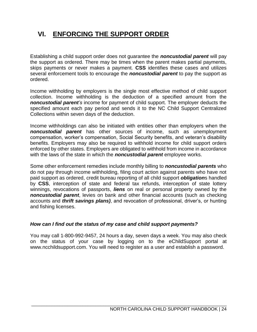# **VI. ENFORCING THE SUPPORT ORDER**

Establishing a child support order does not guarantee the *noncustodial parent* will pay the support as ordered. There may be times when the parent makes partial payments, skips payments or never makes a payment. **CSS** identifies these cases and utilizes several enforcement tools to encourage the *noncustodial parent* to pay the support as ordered.

Income withholding by employers is the single most effective method of child support collection. Income withholding is the deduction of a specified amount from the *noncustodial parent's* income for payment of child support. The employer deducts the specified amount each pay period and sends it to the NC Child Support Centralized Collections within seven days of the deduction.

Income withholdings can also be initiated with entities other than employers when the *noncustodial parent* has other sources of income, such as unemployment compensation, worker's compensation, Social Security benefits, and veteran's disability benefits. Employers may also be required to withhold income for child support orders enforced by other states. Employers are obligated to withhold from income in accordance with the laws of the state in which the *noncustodial parent* employee works.

Some other enforcement remedies include monthly billing to *noncustodial parents* who do not pay through income withholding, filing court action against parents who have not paid support as ordered, credit bureau reporting of all child support *obligation*s handled by **CSS**, interception of state and federal tax refunds, interception of state lottery winnings, revocations of passports, *liens* on real or personal property owned by the *noncustodial parent*, levies on bank and other financial accounts (such as checking accounts and *thrift savings plans)*, and revocation of professional, driver's, or hunting and fishing licenses.

#### *How can I find out the status of my case and child support payments?*

You may call 1-800-992-9457, 24 hours a day, seven days a week. You may also check on the status of your case by logging on to the eChildSupport portal at [www.ncchildsupport.com.](http://www.ncchildsupport.com/) You will need to register as a user and establish a password.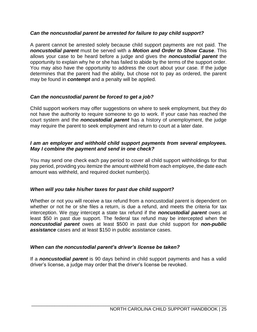#### *Can the noncustodial parent be arrested for failure to pay child support?*

A parent cannot be arrested solely because child support payments are not paid. The *noncustodial parent* must be served with a *Motion and Order to Show Cause*. This allows your case to be heard before a judge and gives the *noncustodial parent* the opportunity to explain why he or she has failed to abide by the terms of the support order. You may also have the opportunity to address the court about your case. If the judge determines that the parent had the ability, but chose not to pay as ordered, the parent may be found in *contempt* and a penalty will be applied.

#### *Can the noncustodial parent be forced to get a job?*

Child support workers may offer suggestions on where to seek employment, but they do not have the authority to require someone to go to work. If your case has reached the court system and the *noncustodial parent* has a history of unemployment, the judge may require the parent to seek employment and return to court at a later date.

#### *I am an employer and withhold child support payments from several employees. May I combine the payment and send in one check?*

You may send one check each pay period to cover all child support withholdings for that pay period, providing you itemize the amount withheld from each employee, the date each amount was withheld, and required docket number(s).

#### *When will you take his/her taxes for past due child support?*

Whether or not you will receive a tax refund from a noncustodial parent is dependent on whether or not he or she files a return, is due a refund, and meets the criteria for tax interception. We *may* intercept a state tax refund if the *noncustodial parent* owes at least \$50 in past due support. The federal tax refund may be intercepted when the *noncustodial parent* owes at least \$500 in past due child support for *non-public assistance* cases and at least \$150 in public assistance cases.

#### *When can the noncustodial parent's driver's license be taken?*

If a *noncustodial parent* is 90 days behind in child support payments and has a valid driver's license, a judge may order that the driver's license be revoked.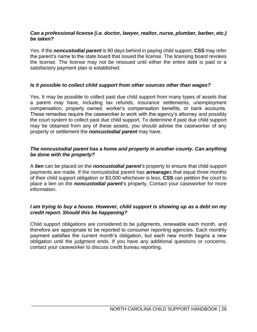#### *Can a professional license (i.e. doctor, lawyer, realtor, nurse, plumber, barber, etc.) be taken?*

Yes. If the *noncustodial parent* is 90 days behind in paying child support, **CSS** may refer the parent's name to the state board that issued the license. The licensing board revokes the license. The license may not be reissued until either the entire debt is paid or a satisfactory payment plan is established.

#### *Is it possible to collect child support from other sources other than wages?*

Yes. It may be possible to collect past due child support from many types of assets that a parent may have, including tax refunds, insurance settlements, unemployment compensation, property owned, worker's compensation benefits, or bank accounts. These remedies require the caseworker to work with the agency's attorney and possibly the court system to collect past due child support. To determine if past due child support may be obtained from any of these assets, you should advise the caseworker of any property or settlement the *noncustodial parent* may have.

#### *The noncustodial parent has a home and property in another county. Can anything be done with the property?*

A *lien* can be placed on the *noncustodial parent's* property to ensure that child support payments are made. If the noncustodial parent has *arrearages* that equal three months of their child support obligation or \$3,000 whichever is less, **CSS** can petition the court to place a lien on the *noncustodial parent*'s property. Contact your caseworker for more information.

#### *I am trying to buy a house. However, child support is showing up as a debt on my credit report. Should this be happening?*

Child support obligations are considered to be judgments, renewable each month, and therefore are appropriate to be reported to consumer reporting agencies. Each monthly payment satisfies the current month's obligation, but each new month begins a new obligation until the judgment ends. If you have any additional questions or concerns, contact your caseworker to discuss credit bureau reporting.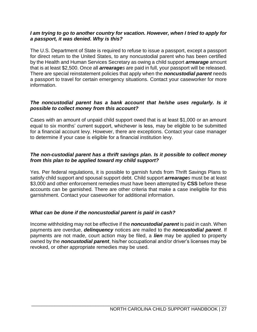#### *I am trying to go to another country for vacation. However, when I tried to apply for a passport, it was denied. Why is this?*

The U.S. Department of State is required to refuse to issue a passport, except a passport for direct return to the United States, to any noncustodial parent who has been certified by the Health and Human Services Secretary as owing a child support *arrearage* amount that is at least \$2,500. Once all *arrearages* are paid in full, your passport will be released. There are special reinstatement policies that apply when the *noncustodial parent* needs a passport to travel for certain emergency situations. Contact your caseworker for more information.

#### *The noncustodial parent has a bank account that he/she uses regularly. Is it possible to collect money from this account?*

Cases with an amount of unpaid child support owed that is at least \$1,000 or an amount equal to six months' current support, whichever is less, may be eligible to be submitted for a financial account levy. However, there are exceptions. Contact your case manager to determine if your case is eligible for a financial institution levy.

#### *The non-custodial parent has a thrift savings plan. Is it possible to collect money from this plan to be applied toward my child support?*

Yes. Per federal regulations, it is possible to garnish funds from Thrift Savings Plans to satisfy child support and spousal support debt. Child support *arrearages* must be at least \$3,000 and other enforcement remedies must have been attempted by **CSS** before these accounts can be garnished. There are other criteria that make a case ineligible for this garnishment. Contact your caseworker for additional information.

#### *What can be done if the noncustodial parent is paid in cash?*

Income withholding may not be effective if the *noncustodial parent* is paid in cash. When payments are overdue, *delinquency* notices are mailed to the *noncustodial parent*. If payments are not made, court action may be filed, a *lien* may be applied to property owned by the *noncustodial parent*, his/her occupational and/or driver's licenses may be revoked, or other appropriate remedies may be used.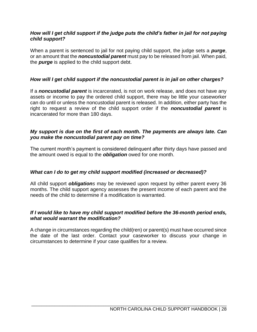#### *How will I get child support if the judge puts the child's father in jail for not paying child support?*

When a parent is sentenced to jail for not paying child support, the judge sets a *purge*, or an amount that the *noncustodial parent* must pay to be released from jail. When paid, the *purge* is applied to the child support debt.

#### *How will I get child support if the noncustodial parent is in jail on other charges?*

If a *noncustodial parent* is incarcerated, is not on work release, and does not have any assets or income to pay the ordered child support, there may be little your caseworker can do until or unless the noncustodial parent is released. In addition, either party has the right to request a review of the child support order if the *noncustodial parent* is incarcerated for more than 180 days.

#### *My support is due on the first of each month. The payments are always late. Can you make the noncustodial parent pay on time?*

The current month's payment is considered delinquent after thirty days have passed and the amount owed is equal to the *obligation* owed for one month.

#### *What can I do to get my child support modified (increased or decreased)?*

All child support *obligations* may be reviewed upon request by either parent every 36 months. The child support agency assesses the present income of each parent and the needs of the child to determine if a modification is warranted.

#### *If I would like to have my child support modified before the 36-month period ends, what would warrant the modification?*

A change in circumstances regarding the child(ren) or parent(s) must have occurred since the date of the last order. Contact your caseworker to discuss your change in circumstances to determine if your case qualifies for a review.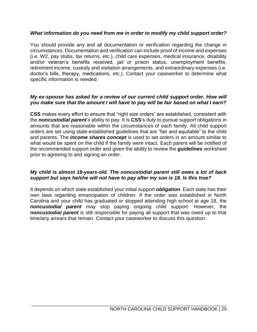#### *What information do you need from me in order to modify my child support order?*

You should provide any and all documentation or verification regarding the change in circumstances. Documentation and verification can include proof of income and expenses (i.e. W2, pay stubs, tax returns, etc.), child care expenses, medical insurance, disability and/or veteran's benefits received, jail or prison status, unemployment benefits, retirement income, custody and visitation arrangements, and extraordinary expenses (i.e. doctor's bills, therapy, medications, etc.). Contact your caseworker to determine what specific information is needed.

#### *My ex-spouse has asked for a review of our current child support order. How will you make sure that the amount I will have to pay will be fair based on what I earn?*

**CSS** makes every effort to ensure that "right size orders" are established, consistent with the *noncustodial parent's* ability to pay. It is **CSS**'s duty to pursue support obligations in amounts that are reasonable within the circumstances of each family. All child support orders are set using state-established guidelines that are "fair and equitable" to the child and parents. The *income shares concept* is used to set orders in an amount similar to what would be spent on the child if the family were intact. Each parent will be notified of the recommended support order and given the ability to review the *guidelines* worksheet prior to agreeing to and signing an order.

#### *My child is almost 18-years-old. The noncustodial parent still owes a lot of back support but says he/she will not have to pay after my son is 18. Is this true?*

It depends on which state established your initial support *obligation*. Each state has their own laws regarding emancipation of children. If the order was established in North Carolina and your child has graduated or stopped attending high school at age 18, the *noncustodial parent* may stop paying ongoing child support. However, the *noncustodial parent* is still responsible for paying all support that was owed up to that time/any arrears that remain. Contact your caseworker to discuss this question.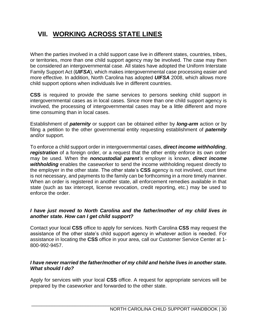# **VII. WORKING ACROSS STATE LINES**

When the parties involved in a child support case live in different states, countries, tribes, or territories, more than one child support agency may be involved. The case may then be considered an intergovernmental case. All states have adopted the Uniform Interstate Family Support Act (*UIFSA*), which makes intergovernmental case processing easier and more effective. In addition, North Carolina has adopted *UIFSA* 2008, which allows more child support options when individuals live in different countries.

**CSS** is required to provide the same services to persons seeking child support in intergovernmental cases as in local cases. Since more than one child support agency is involved, the processing of intergovernmental cases may be a little different and more time consuming than in local cases.

Establishment of *paternity* or support can be obtained either by *long-arm* action or by filing a petition to the other governmental entity requesting establishment of *paternity* and/or support.

To enforce a child support order in intergovernmental cases, *direct income withholding*, *registration* of a foreign order, or a request that the other entity enforce its own order may be used. When the *noncustodial parent's* employer is known, *direct income withholding* enables the caseworker to send the income withholding request directly to the employer in the other state. The other state's **CSS** agency is not involved, court time is not necessary, and payments to the family can be forthcoming in a more timely manner. When an order is registered in another state, all enforcement remedies available in that state (such as tax intercept, license revocation, credit reporting, etc.) may be used to enforce the order.

#### *I have just moved to North Carolina and the father/mother of my child lives in another state. How can I get child support?*

Contact your local **CSS** office to apply for services. North Carolina **CSS** may request the assistance of the other state's child support agency in whatever action is needed. For assistance in locating the **CSS** office in your area, call our Customer Service Center at 1- 800-992-9457.

#### *I have never married the father/mother of my child and he/she lives in another state. What should I do?*

Apply for services with your local **CSS** office. A request for appropriate services will be prepared by the caseworker and forwarded to the other state.

\_\_\_\_\_\_\_\_\_\_\_\_\_\_\_\_\_\_\_\_\_\_\_\_\_\_\_\_\_\_\_\_\_\_\_\_\_\_\_\_\_\_\_\_\_\_\_\_\_\_\_\_\_\_\_\_\_\_\_\_\_\_\_\_\_\_\_\_\_\_\_\_\_\_\_\_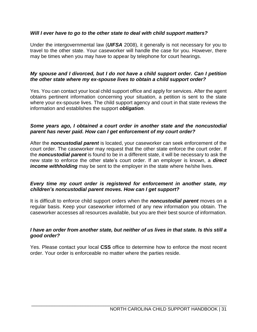#### *Will I ever have to go to the other state to deal with child support matters?*

Under the intergovernmental law (*UIFSA* 2008), it generally is not necessary for you to travel to the other state. Your caseworker will handle the case for you. However, there may be times when you may have to appear by telephone for court hearings.

#### *My spouse and I divorced, but I do not have a child support order. Can I petition the other state where my ex-spouse lives to obtain a child support order?*

Yes. You can contact your local child support office and apply for services. After the agent obtains pertinent information concerning your situation, a petition is sent to the state where your ex-spouse lives. The child support agency and court in that state reviews the information and establishes the support *obligation*.

#### *Some years ago, I obtained a court order in another state and the noncustodial parent has never paid. How can I get enforcement of my court order?*

After the *noncustodial parent* is located, your caseworker can seek enforcement of the court order. The caseworker may request that the other state enforce the court order. If the *noncustodial parent* is found to be in a different state, it will be necessary to ask the new state to enforce the other state's court order. If an employer is known, a *direct income withholding* may be sent to the employer in the state where he/she lives.

#### *Every time my court order is registered for enforcement in another state, my children's noncustodial parent moves. How can I get support?*

It is difficult to enforce child support orders when the *noncustodial parent* moves on a regular basis. Keep your caseworker informed of any new information you obtain. The caseworker accesses all resources available, but you are their best source of information.

#### *I have an order from another state, but neither of us lives in that state. Is this still a good order?*

Yes. Please contact your local **CSS** office to determine how to enforce the most recent order. Your order is enforceable no matter where the parties reside.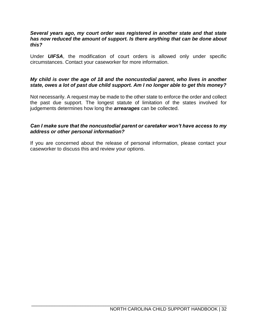#### *Several years ago, my court order was registered in another state and that state has now reduced the amount of support. Is there anything that can be done about this?*

Under *UIFSA*, the modification of court orders is allowed only under specific circumstances. Contact your caseworker for more information.

#### *My child is over the age of 18 and the noncustodial parent, who lives in another state, owes a lot of past due child support. Am I no longer able to get this money?*

Not necessarily. A request may be made to the other state to enforce the order and collect the past due support. The longest statute of limitation of the states involved for judgements determines how long the *arrearages* can be collected.

#### *Can I make sure that the noncustodial parent or caretaker won't have access to my address or other personal information?*

If you are concerned about the release of personal information, please contact your caseworker to discuss this and review your options.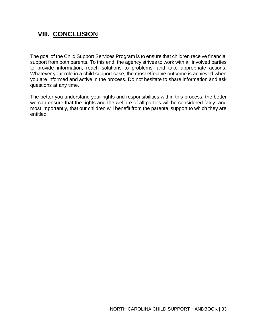# **VIII. CONCLUSION**

The goal of the Child Support Services Program is to ensure that children receive financial support from both parents. To this end, the agency strives to work with all involved parties to provide information, reach solutions to problems, and take appropriate actions. Whatever your role in a child support case, the most effective outcome is achieved when you are informed and active in the process. Do not hesitate to share information and ask questions at any time.

The better you understand your rights and responsibilities within this process, the better we can ensure that the rights and the welfare of all parties will be considered fairly, and most importantly, that our children will benefit from the parental support to which they are entitled.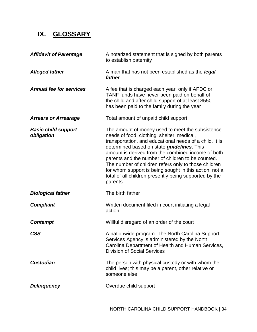# **IX. GLOSSARY**

| <b>Affidavit of Parentage</b>            | A notarized statement that is signed by both parents<br>to establish paternity                                                                                                                                                                                                                                                                                                                                                                                                                                    |
|------------------------------------------|-------------------------------------------------------------------------------------------------------------------------------------------------------------------------------------------------------------------------------------------------------------------------------------------------------------------------------------------------------------------------------------------------------------------------------------------------------------------------------------------------------------------|
| <b>Alleged father</b>                    | A man that has not been established as the <i>legal</i><br>father                                                                                                                                                                                                                                                                                                                                                                                                                                                 |
| <b>Annual fee for services</b>           | A fee that is charged each year, only if AFDC or<br>TANF funds have never been paid on behalf of<br>the child and after child support of at least \$550<br>has been paid to the family during the year                                                                                                                                                                                                                                                                                                            |
| <b>Arrears or Arrearage</b>              | Total amount of unpaid child support                                                                                                                                                                                                                                                                                                                                                                                                                                                                              |
| <b>Basic child support</b><br>obligation | The amount of money used to meet the subsistence<br>needs of food, clothing, shelter, medical,<br>transportation, and educational needs of a child. It is<br>determined based on state <i>guidelines</i> . This<br>amount is derived from the combined income of both<br>parents and the number of children to be counted.<br>The number of children refers only to those children<br>for whom support is being sought in this action, not a<br>total of all children presently being supported by the<br>parents |
| <b>Biological father</b>                 | The birth father                                                                                                                                                                                                                                                                                                                                                                                                                                                                                                  |
| <b>Complaint</b>                         | Written document filed in court initiating a legal<br>action                                                                                                                                                                                                                                                                                                                                                                                                                                                      |
| <b>Contempt</b>                          | Willful disregard of an order of the court                                                                                                                                                                                                                                                                                                                                                                                                                                                                        |
| <b>CSS</b>                               | A nationwide program. The North Carolina Support<br>Services Agency is administered by the North<br>Carolina Department of Health and Human Services,<br><b>Division of Social Services</b>                                                                                                                                                                                                                                                                                                                       |
| <b>Custodian</b>                         | The person with physical custody or with whom the<br>child lives; this may be a parent, other relative or<br>someone else                                                                                                                                                                                                                                                                                                                                                                                         |
| <b>Delinquency</b>                       | Overdue child support                                                                                                                                                                                                                                                                                                                                                                                                                                                                                             |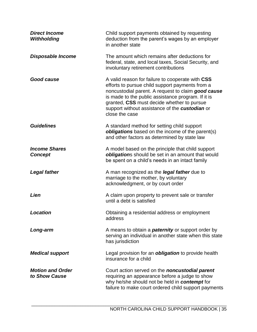| <b>Direct Income</b><br><b>Withholding</b> | Child support payments obtained by requesting<br>deduction from the parent's wages by an employer<br>in another state                                                                                                                                                                                                             |
|--------------------------------------------|-----------------------------------------------------------------------------------------------------------------------------------------------------------------------------------------------------------------------------------------------------------------------------------------------------------------------------------|
| <b>Disposable Income</b>                   | The amount which remains after deductions for<br>federal, state, and local taxes, Social Security, and<br>involuntary retirement contributions                                                                                                                                                                                    |
| Good cause                                 | A valid reason for failure to cooperate with CSS<br>efforts to pursue child support payments from a<br>noncustodial parent. A request to claim good cause<br>is made to the public assistance program. If it is<br>granted, CSS must decide whether to pursue<br>support without assistance of the custodian or<br>close the case |
| <b>Guidelines</b>                          | A standard method for setting child support<br>obligations based on the income of the parent(s)<br>and other factors as determined by state law                                                                                                                                                                                   |
| <b>Income Shares</b><br><b>Concept</b>     | A model based on the principle that child support<br>obligations should be set in an amount that would<br>be spent on a child's needs in an intact family                                                                                                                                                                         |
| <b>Legal father</b>                        | A man recognized as the <i>legal father</i> due to<br>marriage to the mother, by voluntary<br>acknowledgment, or by court order                                                                                                                                                                                                   |
| Lien                                       | A claim upon property to prevent sale or transfer<br>until a debt is satisfied                                                                                                                                                                                                                                                    |
| <b>Location</b>                            | Obtaining a residential address or employment<br>address                                                                                                                                                                                                                                                                          |
| Long-arm                                   | A means to obtain a <b>paternity</b> or support order by<br>serving an individual in another state when this state<br>has jurisdiction                                                                                                                                                                                            |
| <b>Medical support</b>                     | Legal provision for an <b>obligation</b> to provide health<br>insurance for a child                                                                                                                                                                                                                                               |
| <b>Motion and Order</b><br>to Show Cause   | Court action served on the <b>noncustodial parent</b><br>requiring an appearance before a judge to show<br>why he/she should not be held in <b>contempt</b> for<br>failure to make court ordered child support payments                                                                                                           |

\_\_\_\_\_\_\_\_\_\_\_\_\_\_\_\_\_\_\_\_\_\_\_\_\_\_\_\_\_\_\_\_\_\_\_\_\_\_\_\_\_\_\_\_\_\_\_\_\_\_\_\_\_\_\_\_\_\_\_\_\_\_\_\_\_\_\_\_\_\_\_\_\_\_\_\_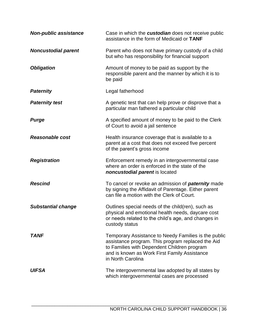| <b>Non-public assistance</b> | Case in which the <b>custodian</b> does not receive public<br>assistance in the form of Medicaid or TANF                                                                                                                      |
|------------------------------|-------------------------------------------------------------------------------------------------------------------------------------------------------------------------------------------------------------------------------|
| <b>Noncustodial parent</b>   | Parent who does not have primary custody of a child<br>but who has responsibility for financial support                                                                                                                       |
| <b>Obligation</b>            | Amount of money to be paid as support by the<br>responsible parent and the manner by which it is to<br>be paid                                                                                                                |
| <b>Paternity</b>             | Legal fatherhood                                                                                                                                                                                                              |
| <b>Paternity test</b>        | A genetic test that can help prove or disprove that a<br>particular man fathered a particular child                                                                                                                           |
| <b>Purge</b>                 | A specified amount of money to be paid to the Clerk<br>of Court to avoid a jail sentence                                                                                                                                      |
| <b>Reasonable cost</b>       | Health insurance coverage that is available to a<br>parent at a cost that does not exceed five percent<br>of the parent's gross income                                                                                        |
| <b>Registration</b>          | Enforcement remedy in an intergovernmental case<br>where an order is enforced in the state of the<br>noncustodial parent is located                                                                                           |
| <b>Rescind</b>               | To cancel or revoke an admission of <i>paternity</i> made<br>by signing the Affidavit of Parentage. Either parent<br>can file a motion with the Clerk of Court.                                                               |
| <b>Substantial change</b>    | Outlines special needs of the child(ren), such as<br>physical and emotional health needs, daycare cost<br>or needs related to the child's age, and changes in<br>custody status                                               |
| <b>TANF</b>                  | Temporary Assistance to Needy Families is the public<br>assistance program. This program replaced the Aid<br>to Families with Dependent Children program<br>and is known as Work First Family Assistance<br>in North Carolina |
| <b>UIFSA</b>                 | The intergovernmental law adopted by all states by<br>which intergovernmental cases are processed                                                                                                                             |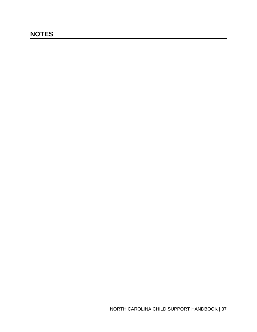# **NOTES**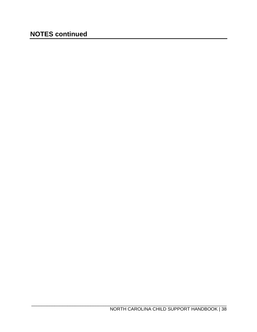# **NOTES continued**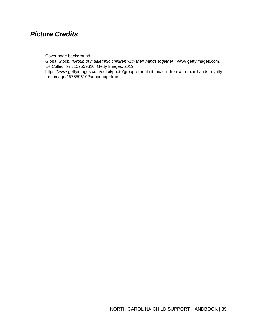### *Picture Credits*

1. Cover page background - Global Stock. "*Group of multiethnic children with their hands together*:" www.gettyimages.com, E+ Collection #157559610, Getty Images, 2019, https://www.gettyimages.com/detail/photo/group-of-multiethnic-children-with-their-hands-royaltyfree-image/157559610?adppopup=true

\_\_\_\_\_\_\_\_\_\_\_\_\_\_\_\_\_\_\_\_\_\_\_\_\_\_\_\_\_\_\_\_\_\_\_\_\_\_\_\_\_\_\_\_\_\_\_\_\_\_\_\_\_\_\_\_\_\_\_\_\_\_\_\_\_\_\_\_\_\_\_\_\_\_\_\_